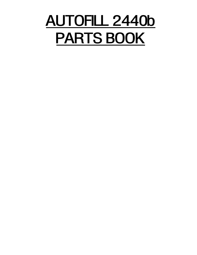# AUTOFILL 2440b PARTS BOOK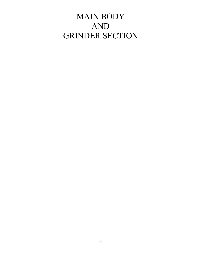## MAIN BODY AND GRINDER SECTION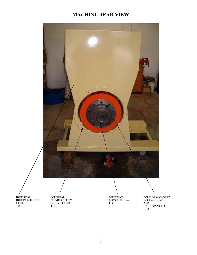### MACHINE REAR VIEW



HOUSING GRINDER GRINDER SCREW TORQUE HUB 26:1 BOLT 42 x 36 (002-0011) 1 PC AND 002-0010 24 x 36 (002-0011) 1 PC AND

HOUGRI001 SCRGRI001 SCRGRI001 TORHUB001 BOL005 & WASLOC002<br>HOUSING GRINDER GRINDER SCREW TORQUE HUB 26:1 BOLT 34" – 10 x 2 1 PC. 1 PC. 1 PC. 10 PCS.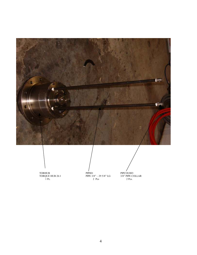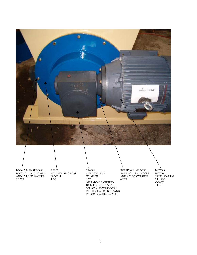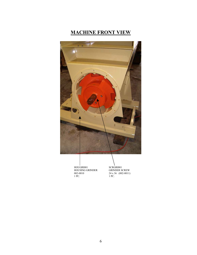### MACHINE FRONT VIEW



 $\begin{tabular}{ll} HOUGRI001 & & SCRGRI001 \\ HOUSING GRINDER & GRINDER SCREW \\ 002-0010 & 24 x 36 (002-0011) \\ 1 PC. & 1 PC. \\ \end{tabular}$ HOUSING GRINDER GRINDER SCREW 002-0010 24 x 36 (002-0011) 1 PC. 1 PC.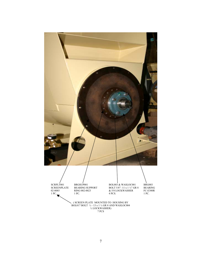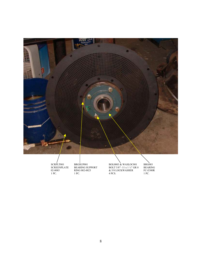

SCRPLT001 BRGSUP001 BOL0003 & WASLOC001 BRG003 SCREENPLATE BEARING SUPPORT BOLT 5/8"-11 x 1 ½" GR 8 BEARING 02-0085 RING 002-0023 & 5/8 LOCKWASHER FC-E300R 1 PC. 1 PC. 4 PCS. 1 PC. 1 PC.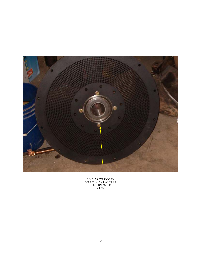

BOL017 & WASLOC 004 BOLT ½" x 13 x 1 ½" GR 8 & ½ LOCKWASHER 4 PCS.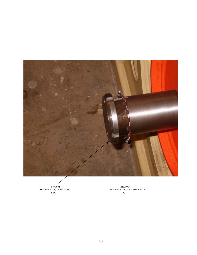

BRG001<br>BEARING LOCKNUT AN15<br>1 PC

BRG001 BRG004 BEARING LOCKNUT AN15 BEARING LOCKWASHER W15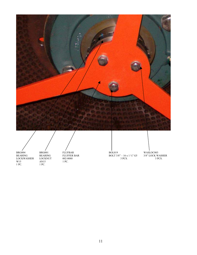



1 PC. 1 PC.

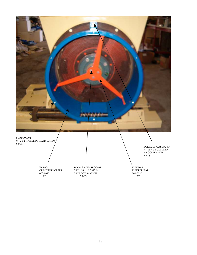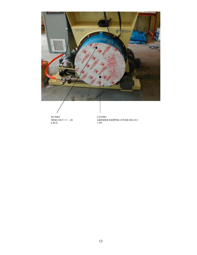

 NUT003 COV001 6 PCS 1 PC

COV001 GRINDER HOPPER COVER 002-013 1 PC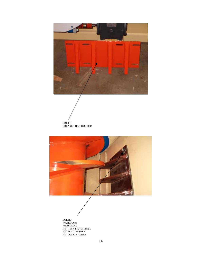

 BRE001 BREAKER BAR OO2-0044



BOL013 WASLOC003 WASFLA002  $3/8$ " – 16 x 1  $\frac{1}{4}$ " G5 BOLT 3/8" FLAT WASHER 3/8" LOCK WASHER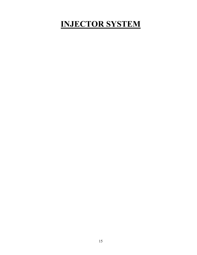# INJECTOR SYSTEM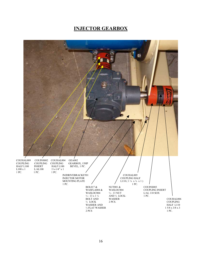#### INJECTOR GEARBOX

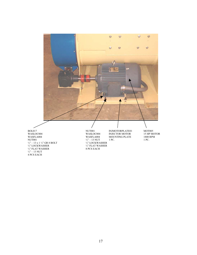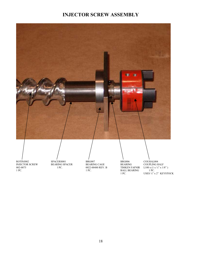#### INJECTOR SCREW ASSEMBLY



INJECTOR SCREW BEARING SPACER BEARING CAGE BEARING COUPLING TEARING CAGE BEARING CAGE BEARING TEARING TEARS OF TEARS OF TEARING A SUBSERVER BEARING SPACER BEARING SPACER BEARING SPACER BEARING SPACER BEARING SPACER SPACER 0022-00480 REV. B<br>1 PC. B<br>1 PC. BALL BEARING

ROTINJ002 SPACERS001 BRG007 BRG006 COUHAL004<br>INJECTOR SCREW BEARING SPACER BEARING CAGE BEARING COUPLING HALF 002-0075 1 PC.  $1 P C.$  0022-00480 REV. B TIMKEN FAFNIR L100 x (1 x ¼" x 1/8") 1 PC. BALL BEARING 1 PC. USES  $\mathbin{\text{\tt\char'4}}$ x 2" KEYSTOCK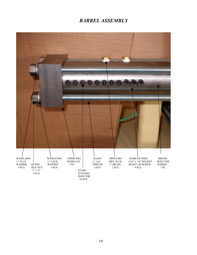#### BARREL ASSEMBLY

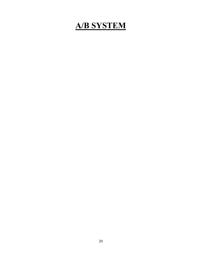### A/B SYSTEM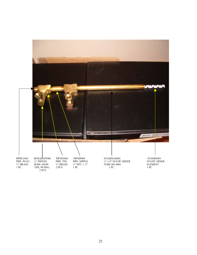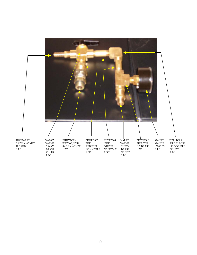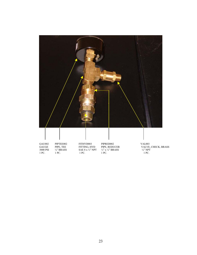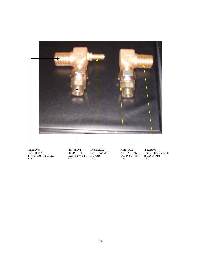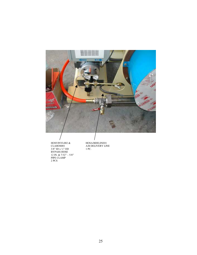

 HOSVINYL002 & HOSA/BDELINE01  $3/8$ " ID x  $\frac{1}{2}$ " OD 1 PC. BYPASS HOSE 12 IN.  $& 7/32^{\prime\prime} - 5/8^{\prime\prime}$ PIPE CLAMP 2 PCS

HOSA/BDELINE01<br>A/B DELIVERY LINE<br>1 PC.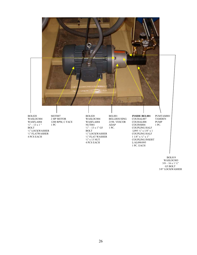

WASLOC003  $3/8 - 16 \times 1^{3}/4$ " G5 BOLT 3/8" LOCKWASHER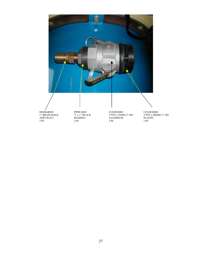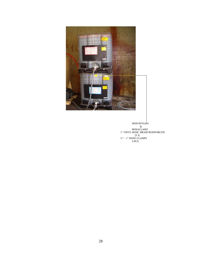

 HOSVINYL001 & HOSACLA003 1" VINYL HOSE, BRAID REINFORCED  $25 \text{ ft.}$  $\frac{3}{4}$ " – 1" HOSE CLAMPS 4 PCS.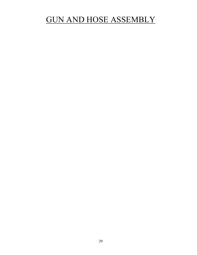## GUN AND HOSE ASSEMBLY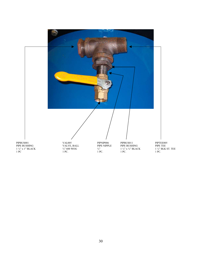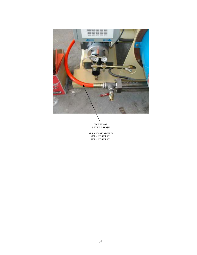

HOSFIL002 6 FT FILL HOSE

ALSO AVAILABLE IN 4FT – HOSFIL001 8FT – HOSFIL003